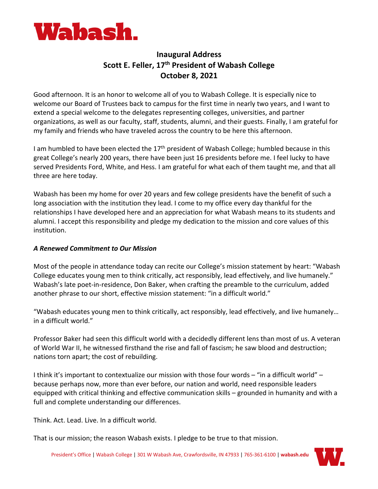

# **Inaugural Address Scott E. Feller, 17th President of Wabash College October 8, 2021**

Good afternoon. It is an honor to welcome all of you to Wabash College. It is especially nice to welcome our Board of Trustees back to campus for the first time in nearly two years, and I want to extend a special welcome to the delegates representing colleges, universities, and partner organizations, as well as our faculty, staff, students, alumni, and their guests. Finally, I am grateful for my family and friends who have traveled across the country to be here this afternoon.

I am humbled to have been elected the  $17<sup>th</sup>$  president of Wabash College; humbled because in this great College's nearly 200 years, there have been just 16 presidents before me. I feel lucky to have served Presidents Ford, White, and Hess. I am grateful for what each of them taught me, and that all three are here today.

Wabash has been my home for over 20 years and few college presidents have the benefit of such a long association with the institution they lead. I come to my office every day thankful for the relationships I have developed here and an appreciation for what Wabash means to its students and alumni. I accept this responsibility and pledge my dedication to the mission and core values of this institution.

# *A Renewed Commitment to Our Mission*

Most of the people in attendance today can recite our College's mission statement by heart: "Wabash College educates young men to think critically, act responsibly, lead effectively, and live humanely." Wabash's late poet-in-residence, Don Baker, when crafting the preamble to the curriculum, added another phrase to our short, effective mission statement: "in a difficult world."

"Wabash educates young men to think critically, act responsibly, lead effectively, and live humanely… in a difficult world."

Professor Baker had seen this difficult world with a decidedly different lens than most of us. A veteran of World War II, he witnessed firsthand the rise and fall of fascism; he saw blood and destruction; nations torn apart; the cost of rebuilding.

I think it's important to contextualize our mission with those four words – "in a difficult world" – because perhaps now, more than ever before, our nation and world, need responsible leaders equipped with critical thinking and effective communication skills – grounded in humanity and with a full and complete understanding our differences.

Think. Act. Lead. Live. In a difficult world.

That is our mission; the reason Wabash exists. I pledge to be true to that mission.

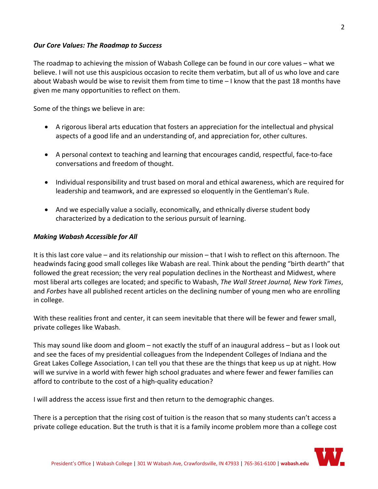## *Our Core Values: The Roadmap to Success*

The roadmap to achieving the mission of Wabash College can be found in our core values – what we believe. I will not use this auspicious occasion to recite them verbatim, but all of us who love and care about Wabash would be wise to revisit them from time to time – I know that the past 18 months have given me many opportunities to reflect on them.

Some of the things we believe in are:

- A rigorous liberal arts education that fosters an appreciation for the intellectual and physical aspects of a good life and an understanding of, and appreciation for, other cultures.
- A personal context to teaching and learning that encourages candid, respectful, face-to-face conversations and freedom of thought.
- Individual responsibility and trust based on moral and ethical awareness, which are required for leadership and teamwork, and are expressed so eloquently in the Gentleman's Rule.
- And we especially value a socially, economically, and ethnically diverse student body characterized by a dedication to the serious pursuit of learning.

### *Making Wabash Accessible for All*

It is this last core value – and its relationship our mission – that I wish to reflect on this afternoon. The headwinds facing good small colleges like Wabash are real. Think about the pending "birth dearth" that followed the great recession; the very real population declines in the Northeast and Midwest, where most liberal arts colleges are located; and specific to Wabash, *The Wall Street Journal, New York Times*, and *Forbes* have all published recent articles on the declining number of young men who are enrolling in college.

With these realities front and center, it can seem inevitable that there will be fewer and fewer small, private colleges like Wabash.

This may sound like doom and gloom – not exactly the stuff of an inaugural address – but as I look out and see the faces of my presidential colleagues from the Independent Colleges of Indiana and the Great Lakes College Association, I can tell you that these are the things that keep us up at night. How will we survive in a world with fewer high school graduates and where fewer and fewer families can afford to contribute to the cost of a high-quality education?

I will address the access issue first and then return to the demographic changes.

There is a perception that the rising cost of tuition is the reason that so many students can't access a private college education. But the truth is that it is a family income problem more than a college cost

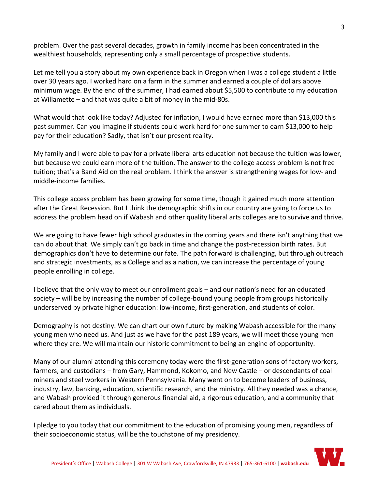problem. Over the past several decades, growth in family income has been concentrated in the wealthiest households, representing only a small percentage of prospective students.

Let me tell you a story about my own experience back in Oregon when I was a college student a little over 30 years ago. I worked hard on a farm in the summer and earned a couple of dollars above minimum wage. By the end of the summer, I had earned about \$5,500 to contribute to my education at Willamette – and that was quite a bit of money in the mid-80s.

What would that look like today? Adjusted for inflation, I would have earned more than \$13,000 this past summer. Can you imagine if students could work hard for one summer to earn \$13,000 to help pay for their education? Sadly, that isn't our present reality.

My family and I were able to pay for a private liberal arts education not because the tuition was lower, but because we could earn more of the tuition. The answer to the college access problem is not free tuition; that's a Band Aid on the real problem. I think the answer is strengthening wages for low- and middle-income families.

This college access problem has been growing for some time, though it gained much more attention after the Great Recession. But I think the demographic shifts in our country are going to force us to address the problem head on if Wabash and other quality liberal arts colleges are to survive and thrive.

We are going to have fewer high school graduates in the coming years and there isn't anything that we can do about that. We simply can't go back in time and change the post-recession birth rates. But demographics don't have to determine our fate. The path forward is challenging, but through outreach and strategic investments, as a College and as a nation, we can increase the percentage of young people enrolling in college.

I believe that the only way to meet our enrollment goals – and our nation's need for an educated society – will be by increasing the number of college-bound young people from groups historically underserved by private higher education: low-income, first-generation, and students of color.

Demography is not destiny. We can chart our own future by making Wabash accessible for the many young men who need us. And just as we have for the past 189 years, we will meet those young men where they are. We will maintain our historic commitment to being an engine of opportunity.

Many of our alumni attending this ceremony today were the first-generation sons of factory workers, farmers, and custodians – from Gary, Hammond, Kokomo, and New Castle – or descendants of coal miners and steel workers in Western Pennsylvania. Many went on to become leaders of business, industry, law, banking, education, scientific research, and the ministry. All they needed was a chance, and Wabash provided it through generous financial aid, a rigorous education, and a community that cared about them as individuals.

I pledge to you today that our commitment to the education of promising young men, regardless of their socioeconomic status, will be the touchstone of my presidency.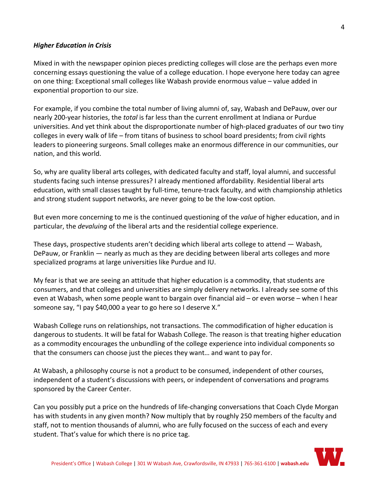## *Higher Education in Crisis*

Mixed in with the newspaper opinion pieces predicting colleges will close are the perhaps even more concerning essays questioning the value of a college education. I hope everyone here today can agree on one thing: Exceptional small colleges like Wabash provide enormous value – value added in exponential proportion to our size.

For example, if you combine the total number of living alumni of, say, Wabash and DePauw, over our nearly 200-year histories, the *total* is far less than the current enrollment at Indiana or Purdue universities. And yet think about the disproportionate number of high-placed graduates of our two tiny colleges in every walk of life – from titans of business to school board presidents; from civil rights leaders to pioneering surgeons. Small colleges make an enormous difference in our communities, our nation, and this world.

So, why are quality liberal arts colleges, with dedicated faculty and staff, loyal alumni, and successful students facing such intense pressures? I already mentioned affordability. Residential liberal arts education, with small classes taught by full-time, tenure-track faculty, and with championship athletics and strong student support networks, are never going to be the low-cost option.

But even more concerning to me is the continued questioning of the *value* of higher education, and in particular, the *devaluing* of the liberal arts and the residential college experience.

These days, prospective students aren't deciding which liberal arts college to attend — Wabash, DePauw, or Franklin — nearly as much as they are deciding between liberal arts colleges and more specialized programs at large universities like Purdue and IU.

My fear is that we are seeing an attitude that higher education is a commodity, that students are consumers, and that colleges and universities are simply delivery networks. I already see some of this even at Wabash, when some people want to bargain over financial aid – or even worse – when I hear someone say, "I pay \$40,000 a year to go here so I deserve X."

Wabash College runs on relationships, not transactions. The commodification of higher education is dangerous to students. It will be fatal for Wabash College. The reason is that treating higher education as a commodity encourages the unbundling of the college experience into individual components so that the consumers can choose just the pieces they want… and want to pay for.

At Wabash, a philosophy course is not a product to be consumed, independent of other courses, independent of a student's discussions with peers, or independent of conversations and programs sponsored by the Career Center.

Can you possibly put a price on the hundreds of life-changing conversations that Coach Clyde Morgan has with students in any given month? Now multiply that by roughly 250 members of the faculty and staff, not to mention thousands of alumni, who are fully focused on the success of each and every student. That's value for which there is no price tag.

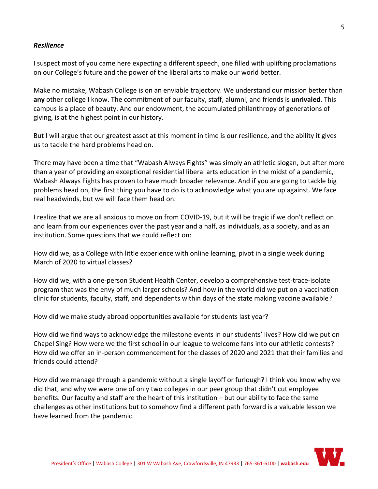## *Resilience*

I suspect most of you came here expecting a different speech, one filled with uplifting proclamations on our College's future and the power of the liberal arts to make our world better.

Make no mistake, Wabash College is on an enviable trajectory. We understand our mission better than **any** other college I know. The commitment of our faculty, staff, alumni, and friends is **unrivaled**. This campus is a place of beauty. And our endowment, the accumulated philanthropy of generations of giving, is at the highest point in our history.

But I will argue that our greatest asset at this moment in time is our resilience, and the ability it gives us to tackle the hard problems head on.

There may have been a time that "Wabash Always Fights" was simply an athletic slogan, but after more than a year of providing an exceptional residential liberal arts education in the midst of a pandemic, Wabash Always Fights has proven to have much broader relevance. And if you are going to tackle big problems head on, the first thing you have to do is to acknowledge what you are up against. We face real headwinds, but we will face them head on.

I realize that we are all anxious to move on from COVID-19, but it will be tragic if we don't reflect on and learn from our experiences over the past year and a half, as individuals, as a society, and as an institution. Some questions that we could reflect on:

How did we, as a College with little experience with online learning, pivot in a single week during March of 2020 to virtual classes?

How did we, with a one-person Student Health Center, develop a comprehensive test-trace-isolate program that was the envy of much larger schools? And how in the world did we put on a vaccination clinic for students, faculty, staff, and dependents within days of the state making vaccine available?

How did we make study abroad opportunities available for students last year?

How did we find ways to acknowledge the milestone events in our students' lives? How did we put on Chapel Sing? How were we the first school in our league to welcome fans into our athletic contests? How did we offer an in-person commencement for the classes of 2020 and 2021 that their families and friends could attend?

How did we manage through a pandemic without a single layoff or furlough? I think you know why we did that, and why we were one of only two colleges in our peer group that didn't cut employee benefits. Our faculty and staff are the heart of this institution – but our ability to face the same challenges as other institutions but to somehow find a different path forward is a valuable lesson we have learned from the pandemic.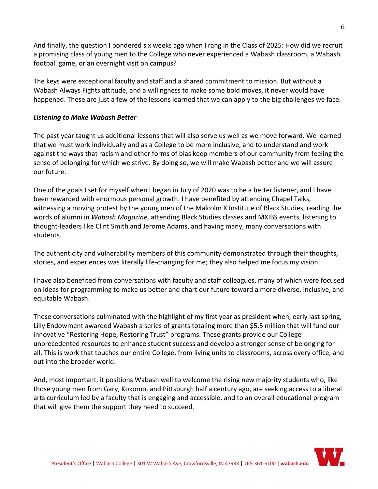And finally, the question I pondered six weeks ago when I rang in the Class of 2025: How did we recruit a promising class of young men to the College who never experienced a Wabash classroom, a Wabash football game, or an overnight visit on campus?

The keys were exceptional faculty and staff and a shared commitment to mission. But without a Wabash Always Fights attitude, and a willingness to make some bold moves, it never would have happened. These are just a few of the lessons learned that we can apply to the big challenges we face.

# *Listening to Make Wabash Better*

The past year taught us additional lessons that will also serve us well as we move forward. We learned that we must work individually and as a College to be more inclusive, and to understand and work against the ways that racism and other forms of bias keep members of our community from feeling the sense of belonging for which we strive. By doing so, we will make Wabash better and we will assure our future.

One of the goals I set for myself when I began in July of 2020 was to be a better listener, and I have been rewarded with enormous personal growth. I have benefited by attending Chapel Talks, witnessing a moving protest by the young men of the Malcolm X Institute of Black Studies, reading the words of alumni in *Wabash Magazine*, attending Black Studies classes and MXIBS events, listening to thought-leaders like Clint Smith and Jerome Adams, and having many, many conversations with students.

The authenticity and vulnerability members of this community demonstrated through their thoughts, stories, and experiences was literally life-changing for me; they also helped me focus my vision.

I have also benefited from conversations with faculty and staff colleagues, many of which were focused on ideas for programming to make us better and chart our future toward a more diverse, inclusive, and equitable Wabash.

These conversations culminated with the highlight of my first year as president when, early last spring, Lilly Endowment awarded Wabash a series of grants totaling more than \$5.5 million that will fund our innovative "Restoring Hope, Restoring Trust" programs. These grants provide our College unprecedented resources to enhance student success and develop a stronger sense of belonging for all. This is work that touches our entire College, from living units to classrooms, across every office, and out into the broader world.

And, most important, it positions Wabash well to welcome the rising new majority students who, like those young men from Gary, Kokomo, and Pittsburgh half a century ago, are seeking access to a liberal arts curriculum led by a faculty that is engaging and accessible, and to an overall educational program that will give them the support they need to succeed.

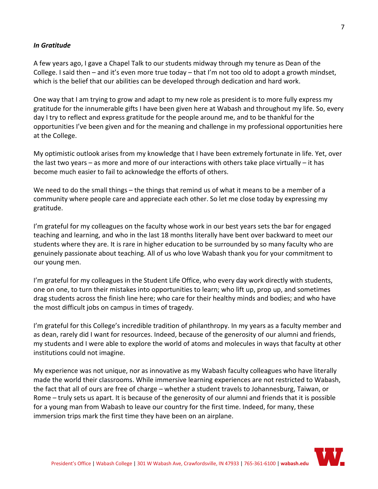## *In Gratitude*

A few years ago, I gave a Chapel Talk to our students midway through my tenure as Dean of the College. I said then – and it's even more true today – that I'm not too old to adopt a growth mindset, which is the belief that our abilities can be developed through dedication and hard work.

One way that I am trying to grow and adapt to my new role as president is to more fully express my gratitude for the innumerable gifts I have been given here at Wabash and throughout my life. So, every day I try to reflect and express gratitude for the people around me, and to be thankful for the opportunities I've been given and for the meaning and challenge in my professional opportunities here at the College.

My optimistic outlook arises from my knowledge that I have been extremely fortunate in life. Yet, over the last two years – as more and more of our interactions with others take place virtually – it has become much easier to fail to acknowledge the efforts of others.

We need to do the small things – the things that remind us of what it means to be a member of a community where people care and appreciate each other. So let me close today by expressing my gratitude.

I'm grateful for my colleagues on the faculty whose work in our best years sets the bar for engaged teaching and learning, and who in the last 18 months literally have bent over backward to meet our students where they are. It is rare in higher education to be surrounded by so many faculty who are genuinely passionate about teaching. All of us who love Wabash thank you for your commitment to our young men.

I'm grateful for my colleagues in the Student Life Office, who every day work directly with students, one on one, to turn their mistakes into opportunities to learn; who lift up, prop up, and sometimes drag students across the finish line here; who care for their healthy minds and bodies; and who have the most difficult jobs on campus in times of tragedy.

I'm grateful for this College's incredible tradition of philanthropy. In my years as a faculty member and as dean, rarely did I want for resources. Indeed, because of the generosity of our alumni and friends, my students and I were able to explore the world of atoms and molecules in ways that faculty at other institutions could not imagine.

My experience was not unique, nor as innovative as my Wabash faculty colleagues who have literally made the world their classrooms. While immersive learning experiences are not restricted to Wabash, the fact that all of ours are free of charge – whether a student travels to Johannesburg, Taiwan, or Rome – truly sets us apart. It is because of the generosity of our alumni and friends that it is possible for a young man from Wabash to leave our country for the first time. Indeed, for many, these immersion trips mark the first time they have been on an airplane.

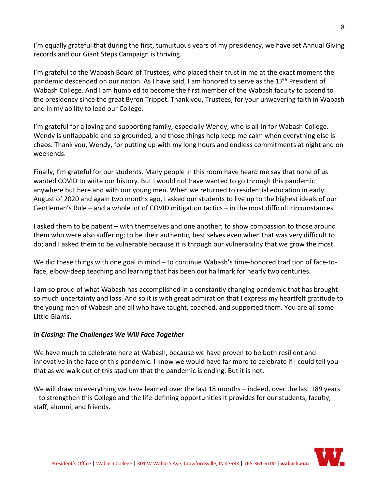I'm equally grateful that during the first, tumultuous years of my presidency, we have set Annual Giving records and our Giant Steps Campaign is thriving.

I'm grateful to the Wabash Board of Trustees, who placed their trust in me at the exact moment the pandemic descended on our nation. As I have said, I am honored to serve as the 17<sup>th</sup> President of Wabash College. And I am humbled to become the first member of the Wabash faculty to ascend to the presidency since the great Byron Trippet. Thank you, Trustees, for your unwavering faith in Wabash and in my ability to lead our College.

I'm grateful for a loving and supporting family, especially Wendy, who is all-in for Wabash College. Wendy is unflappable and so grounded, and those things help keep me calm when everything else is chaos. Thank you, Wendy, for putting up with my long hours and endless commitments at night and on weekends.

Finally, I'm grateful for our students. Many people in this room have heard me say that none of us wanted COVID to write our history. But I would not have wanted to go through this pandemic anywhere but here and with our young men. When we returned to residential education in early August of 2020 and again two months ago, I asked our students to live up to the highest ideals of our Gentleman's Rule – and a whole lot of COVID mitigation tactics – in the most difficult circumstances.

I asked them to be patient – with themselves and one another; to show compassion to those around them who were also suffering; to be their authentic, best selves even when that was very difficult to do; and I asked them to be vulnerable because it is through our vulnerability that we grow the most.

We did these things with one goal in mind – to continue Wabash's time-honored tradition of face-toface, elbow-deep teaching and learning that has been our hallmark for nearly two centuries.

I am so proud of what Wabash has accomplished in a constantly changing pandemic that has brought so much uncertainty and loss. And so it is with great admiration that I express my heartfelt gratitude to the young men of Wabash and all who have taught, coached, and supported them. You are all some Little Giants.

# *In Closing: The Challenges We Will Face Together*

We have much to celebrate here at Wabash, because we have proven to be both resilient and innovative in the face of this pandemic. I know we would have far more to celebrate if I could tell you that as we walk out of this stadium that the pandemic is ending. But it is not.

We will draw on everything we have learned over the last 18 months – indeed, over the last 189 years – to strengthen this College and the life-defining opportunities it provides for our students, faculty, staff, alumni, and friends.